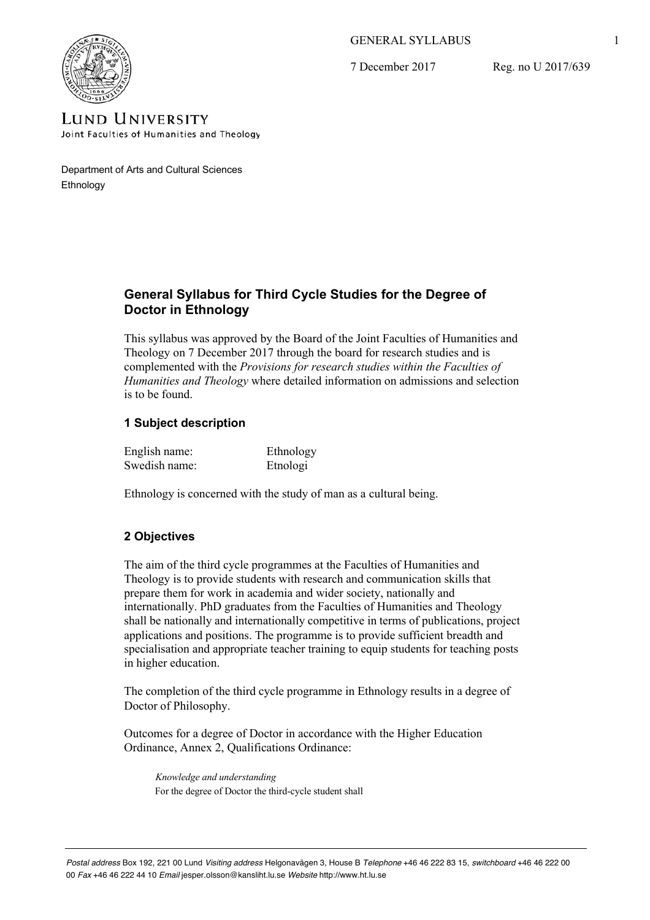# GENERAL SYLLABUS

7 December 2017

Reg. no U 2017/639



**LUND UNIVERSITY** Joint Faculties of Humanities and Theology

Department of Arts and Cultural Sciences Ethnology

# **General Syllabus for Third Cycle Studies for the Degree of Doctor in Ethnology**

This syllabus was approved by the Board of the Joint Faculties of Humanities and Theology on 7 December 2017 through the board for research studies and is complemented with the *Provisions for research studies within the Faculties of Humanities and Theology* where detailed information on admissions and selection is to be found.

# **1 Subject description**

| English name: | Ethnology |
|---------------|-----------|
| Swedish name: | Etnologi  |

Ethnology is concerned with the study of man as a cultural being.

# **2 Objectives**

The aim of the third cycle programmes at the Faculties of Humanities and Theology is to provide students with research and communication skills that prepare them for work in academia and wider society, nationally and internationally. PhD graduates from the Faculties of Humanities and Theology shall be nationally and internationally competitive in terms of publications, project applications and positions. The programme is to provide sufficient breadth and specialisation and appropriate teacher training to equip students for teaching posts in higher education.

The completion of the third cycle programme in Ethnology results in a degree of Doctor of Philosophy.

Outcomes for a degree of Doctor in accordance with the Higher Education Ordinance, Annex 2, Qualifications Ordinance:

*Knowledge and understanding* For the degree of Doctor the third-cycle student shall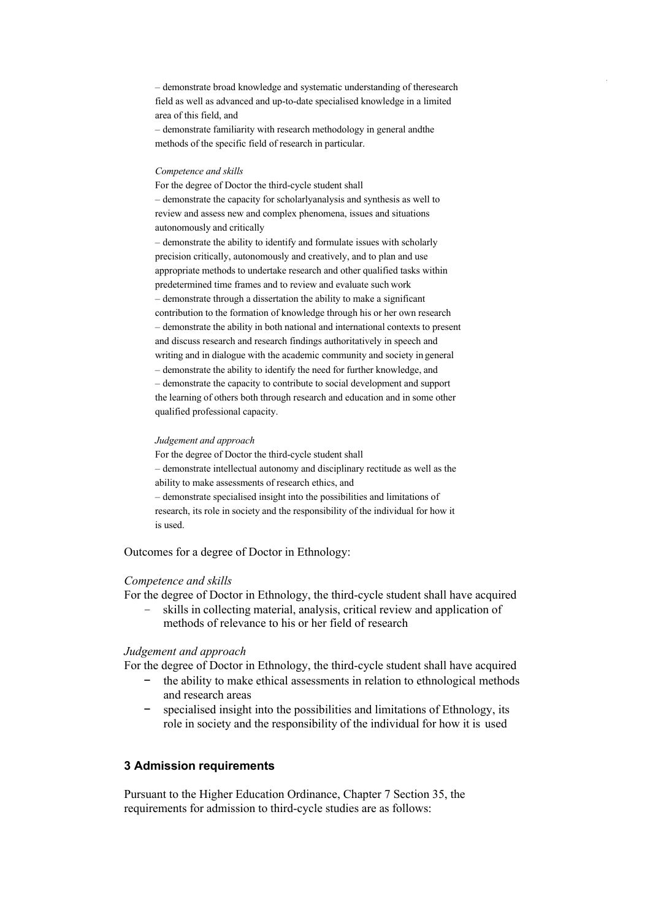– demonstrate broad knowledge and systematic understanding of theresearch field as well as advanced and up-to-date specialised knowledge in a limited area of this field, and

– demonstrate familiarity with research methodology in general andthe methods of the specific field of research in particular.

#### *Competence and skills*

For the degree of Doctor the third-cycle student shall – demonstrate the capacity for scholarlyanalysis and synthesis as well to review and assess new and complex phenomena, issues and situations autonomously and critically

– demonstrate the ability to identify and formulate issues with scholarly precision critically, autonomously and creatively, and to plan and use appropriate methods to undertake research and other qualified tasks within predetermined time frames and to review and evaluate such work – demonstrate through a dissertation the ability to make a significant contribution to the formation of knowledge through his or her own research – demonstrate the ability in both national and international contexts to present and discuss research and research findings authoritatively in speech and writing and in dialogue with the academic community and society in general – demonstrate the ability to identify the need for further knowledge, and – demonstrate the capacity to contribute to social development and support the learning of others both through research and education and in some other qualified professional capacity.

#### *Judgement and approach*

For the degree of Doctor the third-cycle student shall – demonstrate intellectual autonomy and disciplinary rectitude as well as the ability to make assessments of research ethics, and – demonstrate specialised insight into the possibilities and limitations of research, its role in society and the responsibility of the individual for how it is used.

Outcomes for a degree of Doctor in Ethnology:

#### *Competence and skills*

For the degree of Doctor in Ethnology, the third-cycle student shall have acquired

– skills in collecting material, analysis, critical review and application of methods of relevance to his or her field of research

#### *Judgement and approach*

For the degree of Doctor in Ethnology, the third-cycle student shall have acquired

- the ability to make ethical assessments in relation to ethnological methods and research areas
- specialised insight into the possibilities and limitations of Ethnology, its role in society and the responsibility of the individual for how it is used

## **3 Admission requirements**

Pursuant to the Higher Education Ordinance, Chapter 7 Section 35, the requirements for admission to third-cycle studies are as follows: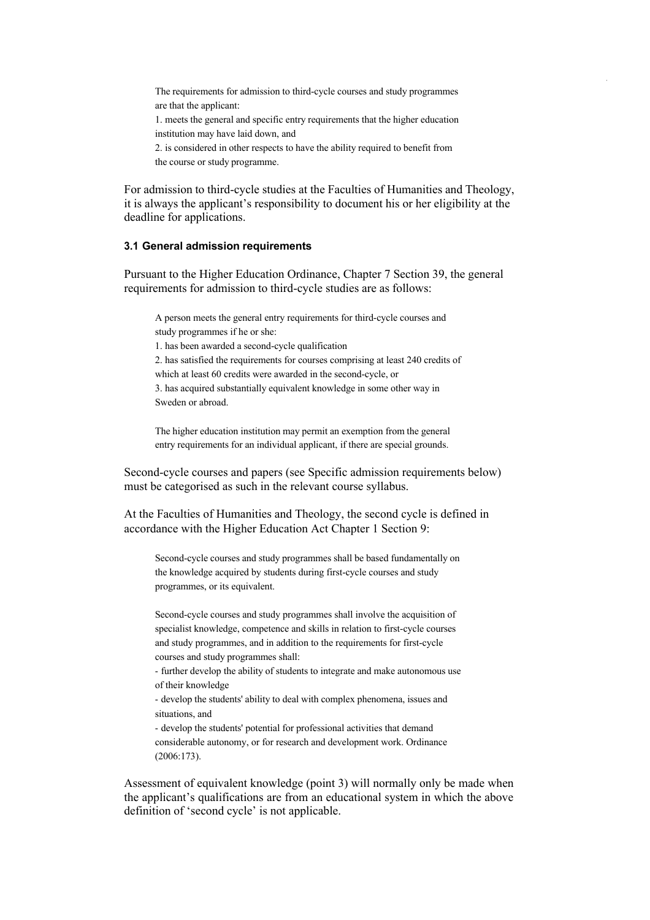The requirements for admission to third-cycle courses and study programmes are that the applicant:

1. meets the general and specific entry requirements that the higher education institution may have laid down, and

2. is considered in other respects to have the ability required to benefit from the course or study programme.

For admission to third-cycle studies at the Faculties of Humanities and Theology, it is always the applicant's responsibility to document his or her eligibility at the deadline for applications.

## **3.1 General admission requirements**

Pursuant to the Higher Education Ordinance, Chapter 7 Section 39, the general requirements for admission to third-cycle studies are as follows:

A person meets the general entry requirements for third-cycle courses and study programmes if he or she:

1. has been awarded a second-cycle qualification

2. has satisfied the requirements for courses comprising at least 240 credits of which at least 60 credits were awarded in the second-cycle, or

3. has acquired substantially equivalent knowledge in some other way in Sweden or abroad.

The higher education institution may permit an exemption from the general entry requirements for an individual applicant, if there are special grounds.

Second-cycle courses and papers (see Specific admission requirements below) must be categorised as such in the relevant course syllabus.

At the Faculties of Humanities and Theology, the second cycle is defined in accordance with the Higher Education Act Chapter 1 Section 9:

Second-cycle courses and study programmes shall be based fundamentally on the knowledge acquired by students during first-cycle courses and study programmes, or its equivalent.

Second-cycle courses and study programmes shall involve the acquisition of specialist knowledge, competence and skills in relation to first-cycle courses and study programmes, and in addition to the requirements for first-cycle courses and study programmes shall:

- further develop the ability of students to integrate and make autonomous use of their knowledge

- develop the students' ability to deal with complex phenomena, issues and situations, and

- develop the students' potential for professional activities that demand considerable autonomy, or for research and development work. Ordinance (2006:173).

Assessment of equivalent knowledge (point 3) will normally only be made when the applicant's qualifications are from an educational system in which the above definition of 'second cycle' is not applicable.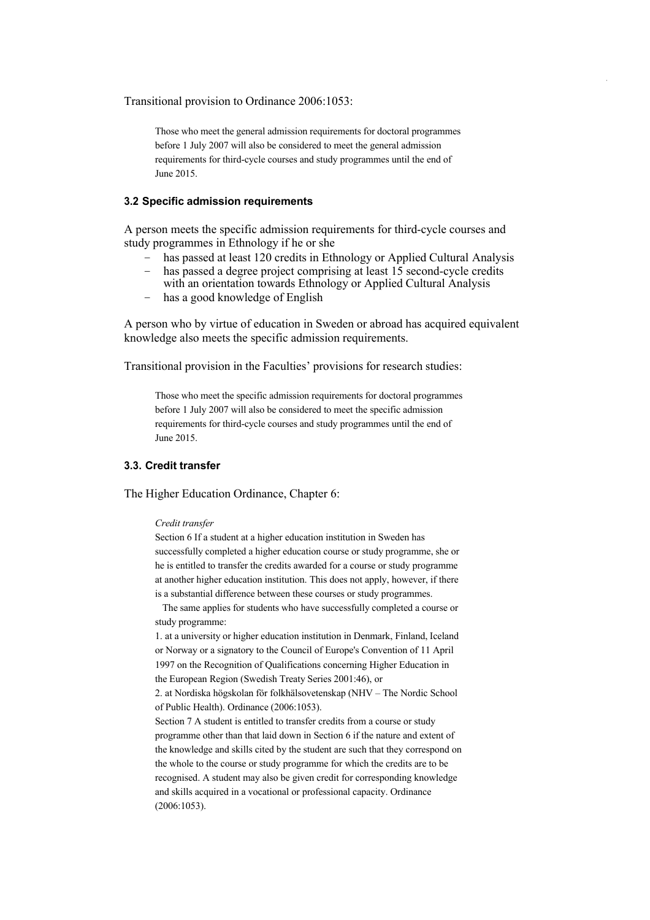Transitional provision to Ordinance 2006:1053:

Those who meet the general admission requirements for doctoral programmes before 1 July 2007 will also be considered to meet the general admission requirements for third-cycle courses and study programmes until the end of June 2015.

### **3.2 Specific admission requirements**

A person meets the specific admission requirements for third-cycle courses and study programmes in Ethnology if he or she

- has passed at least 120 credits in Ethnology or Applied Cultural Analysis
- has passed a degree project comprising at least 15 second-cycle credits with an orientation towards Ethnology or Applied Cultural Analysis
- has a good knowledge of English

A person who by virtue of education in Sweden or abroad has acquired equivalent knowledge also meets the specific admission requirements.

Transitional provision in the Faculties' provisions for research studies:

Those who meet the specific admission requirements for doctoral programmes before 1 July 2007 will also be considered to meet the specific admission requirements for third-cycle courses and study programmes until the end of June 2015.

#### **3.3. Credit transfer**

The Higher Education Ordinance, Chapter 6:

#### *Credit transfer*

Section 6 If a student at a higher education institution in Sweden has successfully completed a higher education course or study programme, she or he is entitled to transfer the credits awarded for a course or study programme at another higher education institution. This does not apply, however, if there is a substantial difference between these courses or study programmes.

The same applies for students who have successfully completed a course or study programme:

1. at a university or higher education institution in Denmark, Finland, Iceland or Norway or a signatory to the Council of Europe's Convention of 11 April 1997 on the Recognition of Qualifications concerning Higher Education in the European Region (Swedish Treaty Series 2001:46), or

2. at Nordiska högskolan för folkhälsovetenskap (NHV – The Nordic School of Public Health). Ordinance (2006:1053).

Section 7 A student is entitled to transfer credits from a course or study programme other than that laid down in Section 6 if the nature and extent of the knowledge and skills cited by the student are such that they correspond on the whole to the course or study programme for which the credits are to be recognised. A student may also be given credit for corresponding knowledge and skills acquired in a vocational or professional capacity. Ordinance (2006:1053).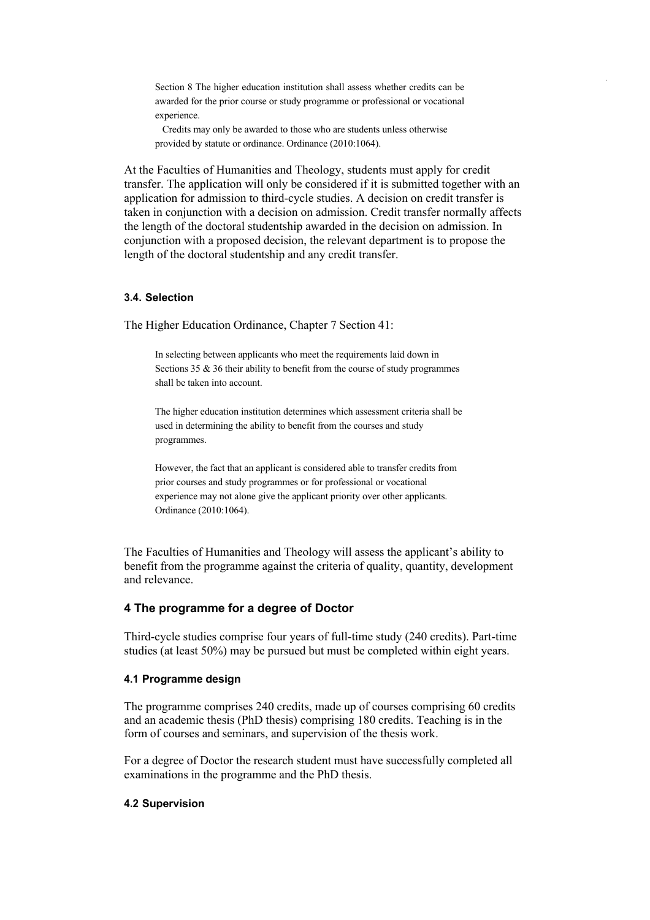Section 8 The higher education institution shall assess whether credits can be awarded for the prior course or study programme or professional or vocational experience.

Credits may only be awarded to those who are students unless otherwise provided by statute or ordinance. Ordinance (2010:1064).

At the Faculties of Humanities and Theology, students must apply for credit transfer. The application will only be considered if it is submitted together with an application for admission to third-cycle studies. A decision on credit transfer is taken in conjunction with a decision on admission. Credit transfer normally affects the length of the doctoral studentship awarded in the decision on admission. In conjunction with a proposed decision, the relevant department is to propose the length of the doctoral studentship and any credit transfer.

## **3.4. Selection**

The Higher Education Ordinance, Chapter 7 Section 41:

In selecting between applicants who meet the requirements laid down in Sections 35 & 36 their ability to benefit from the course of study programmes shall be taken into account.

The higher education institution determines which assessment criteria shall be used in determining the ability to benefit from the courses and study programmes.

However, the fact that an applicant is considered able to transfer credits from prior courses and study programmes or for professional or vocational experience may not alone give the applicant priority over other applicants. Ordinance (2010:1064).

The Faculties of Humanities and Theology will assess the applicant's ability to benefit from the programme against the criteria of quality, quantity, development and relevance.

## **4 The programme for a degree of Doctor**

Third-cycle studies comprise four years of full-time study (240 credits). Part-time studies (at least 50%) may be pursued but must be completed within eight years.

### **4.1 Programme design**

The programme comprises 240 credits, made up of courses comprising 60 credits and an academic thesis (PhD thesis) comprising 180 credits. Teaching is in the form of courses and seminars, and supervision of the thesis work.

For a degree of Doctor the research student must have successfully completed all examinations in the programme and the PhD thesis.

#### **4.2 Supervision**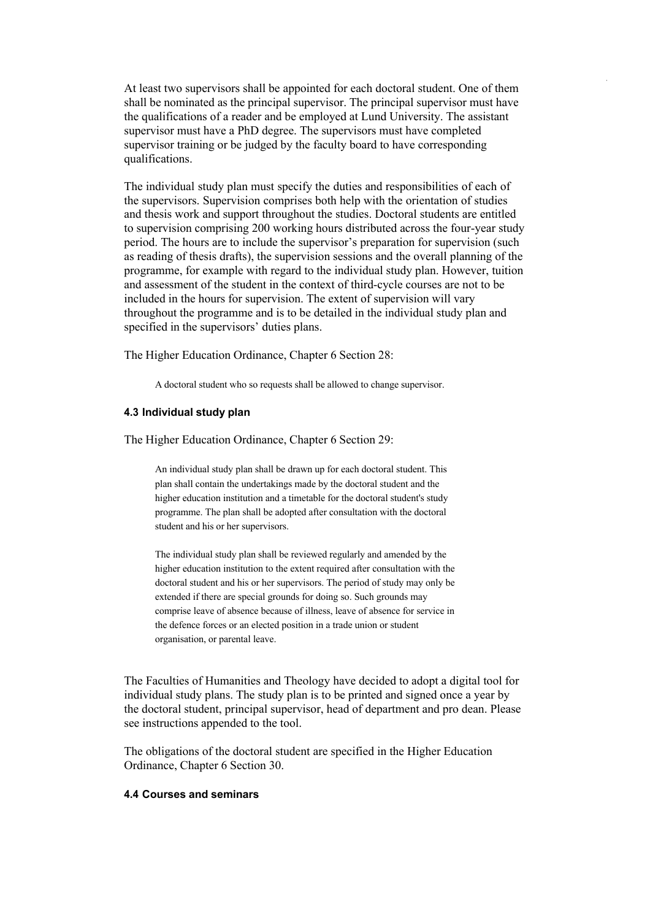At least two supervisors shall be appointed for each doctoral student. One of them shall be nominated as the principal supervisor. The principal supervisor must have the qualifications of a reader and be employed at Lund University. The assistant supervisor must have a PhD degree. The supervisors must have completed supervisor training or be judged by the faculty board to have corresponding qualifications.

The individual study plan must specify the duties and responsibilities of each of the supervisors. Supervision comprises both help with the orientation of studies and thesis work and support throughout the studies. Doctoral students are entitled to supervision comprising 200 working hours distributed across the four-year study period. The hours are to include the supervisor's preparation for supervision (such as reading of thesis drafts), the supervision sessions and the overall planning of the programme, for example with regard to the individual study plan. However, tuition and assessment of the student in the context of third-cycle courses are not to be included in the hours for supervision. The extent of supervision will vary throughout the programme and is to be detailed in the individual study plan and specified in the supervisors' duties plans.

The Higher Education Ordinance, Chapter 6 Section 28:

A doctoral student who so requests shall be allowed to change supervisor.

#### **4.3 Individual study plan**

The Higher Education Ordinance, Chapter 6 Section 29:

An individual study plan shall be drawn up for each doctoral student. This plan shall contain the undertakings made by the doctoral student and the higher education institution and a timetable for the doctoral student's study programme. The plan shall be adopted after consultation with the doctoral student and his or her supervisors.

The individual study plan shall be reviewed regularly and amended by the higher education institution to the extent required after consultation with the doctoral student and his or her supervisors. The period of study may only be extended if there are special grounds for doing so. Such grounds may comprise leave of absence because of illness, leave of absence for service in the defence forces or an elected position in a trade union or student organisation, or parental leave.

The Faculties of Humanities and Theology have decided to adopt a digital tool for individual study plans. The study plan is to be printed and signed once a year by the doctoral student, principal supervisor, head of department and pro dean. Please see instructions appended to the tool.

The obligations of the doctoral student are specified in the Higher Education Ordinance, Chapter 6 Section 30.

## **4.4 Courses and seminars**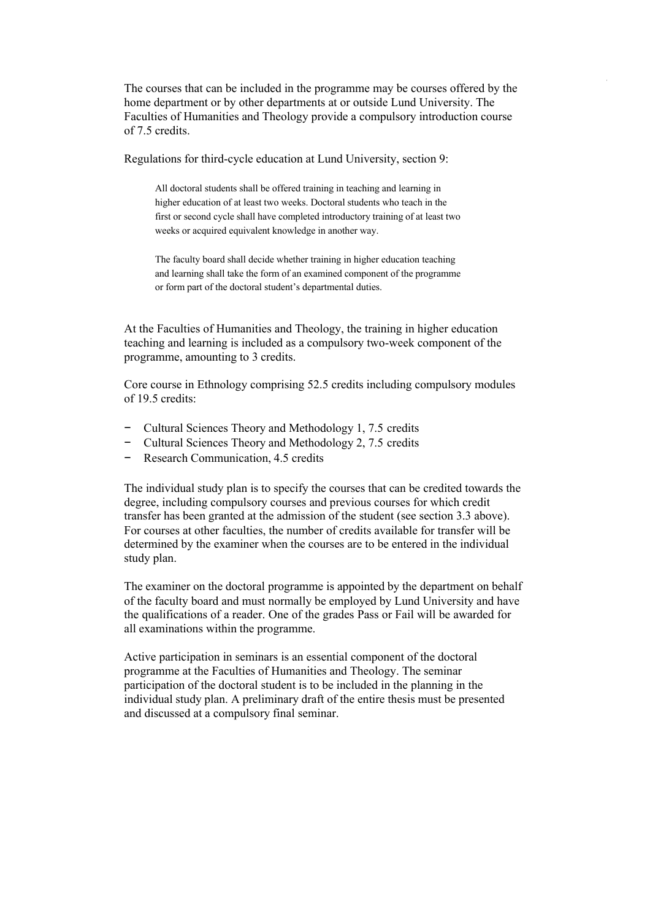The courses that can be included in the programme may be courses offered by the home department or by other departments at or outside Lund University. The Faculties of Humanities and Theology provide a compulsory introduction course of 7.5 credits.

Regulations for third-cycle education at Lund University, section 9:

All doctoral students shall be offered training in teaching and learning in higher education of at least two weeks. Doctoral students who teach in the first or second cycle shall have completed introductory training of at least two weeks or acquired equivalent knowledge in another way.

The faculty board shall decide whether training in higher education teaching and learning shall take the form of an examined component of the programme or form part of the doctoral student's departmental duties.

At the Faculties of Humanities and Theology, the training in higher education teaching and learning is included as a compulsory two-week component of the programme, amounting to 3 credits.

Core course in Ethnology comprising 52.5 credits including compulsory modules of 19.5 credits:

- − Cultural Sciences Theory and Methodology 1, 7.5 credits
- − Cultural Sciences Theory and Methodology 2, 7.5 credits
- − Research Communication, 4.5 credits

The individual study plan is to specify the courses that can be credited towards the degree, including compulsory courses and previous courses for which credit transfer has been granted at the admission of the student (see section 3.3 above). For courses at other faculties, the number of credits available for transfer will be determined by the examiner when the courses are to be entered in the individual study plan.

The examiner on the doctoral programme is appointed by the department on behalf of the faculty board and must normally be employed by Lund University and have the qualifications of a reader. One of the grades Pass or Fail will be awarded for all examinations within the programme.

Active participation in seminars is an essential component of the doctoral programme at the Faculties of Humanities and Theology. The seminar participation of the doctoral student is to be included in the planning in the individual study plan. A preliminary draft of the entire thesis must be presented and discussed at a compulsory final seminar.